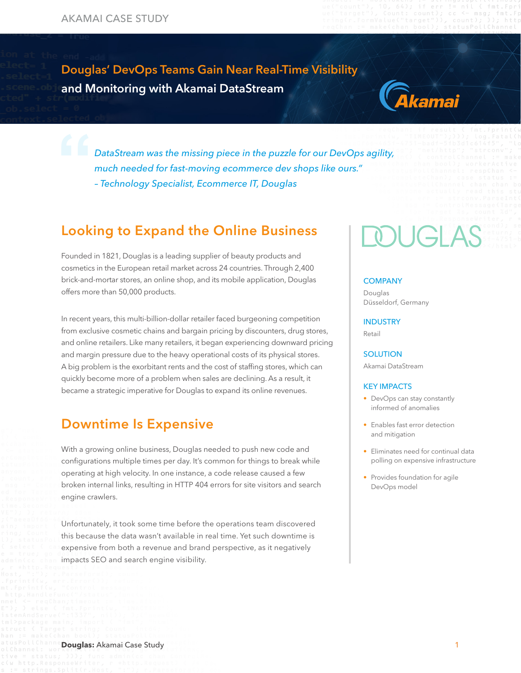Douglas' DevOps Teams Gain Near Real-Time Visibility and Monitoring with Akamai DataStream



*DataStream was the missing piece in the puzzle for our DevOps agility, much needed for fast-moving ecommerce dev shops like ours." – Technology Specialist, Ecommerce IT, Douglas*

### Looking to Expand the Online Business

Founded in 1821, Douglas is a leading supplier of beauty products and cosmetics in the European retail market across 24 countries. Through 2,400 brick-and-mortar stores, an online shop, and its mobile application, Douglas offers more than 50,000 products.

In recent years, this multi-billion-dollar retailer faced burgeoning competition from exclusive cosmetic chains and bargain pricing by discounters, drug stores, and online retailers. Like many retailers, it began experiencing downward pricing and margin pressure due to the heavy operational costs of its physical stores. A big problem is the exorbitant rents and the cost of staffing stores, which can quickly become more of a problem when sales are declining. As a result, it became a strategic imperative for Douglas to expand its online revenues.

#### Downtime Is Expensive

With a growing online business, Douglas needed to push new code and configurations multiple times per day. It's common for things to break while operating at high velocity. In one instance, a code release caused a few broken internal links, resulting in HTTP 404 errors for site visitors and search engine crawlers.

Unfortunately, it took some time before the operations team discovered this because the data wasn't available in real time. Yet such downtime is expensive from both a revenue and brand perspective, as it negatively impacts SEO and search engine visibility.

# **MIGLAS**

#### **COMPANY**

[Douglas](https://www.douglas.de/) [Düsseldorf, Germany](https://www.douglas.de/)

#### INDUSTRY

Retail

#### **SOLUTION**

Akamai DataStream

#### KEY IMPACTS

- DevOps can stay constantly informed of anomalies
- Enables fast error detection and mitigation
- Eliminates need for continual data polling on expensive infrastructure
- Provides foundation for agile DevOps model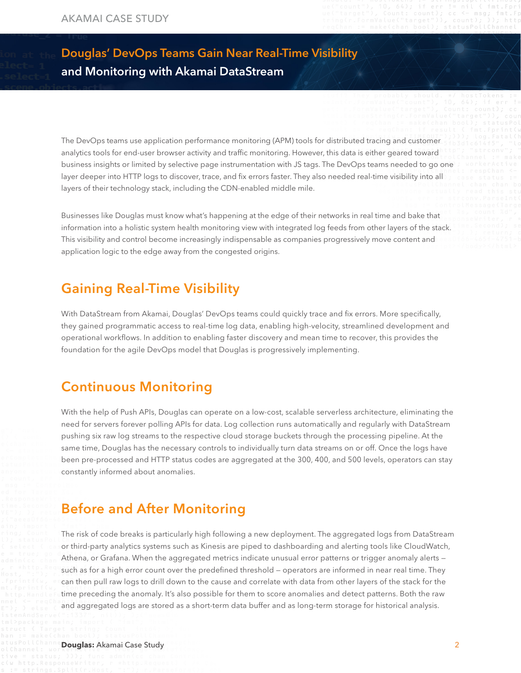### Douglas' DevOps Teams Gain Near Real-Time Visibility and Monitoring with Akamai DataStream

The DevOps teams use application performance monitoring (APM) tools for distributed tracing and customer analytics tools for end-user browser activity and traffic monitoring. However, this data is either geared toward business insights or limited by selective page instrumentation with JS tags. The DevOps teams needed to go one layer deeper into HTTP logs to discover, trace, and fix errors faster. They also needed real-time visibility into all layers of their technology stack, including the CDN-enabled middle mile.

Businesses like Douglas must know what's happening at the edge of their networks in real time and bake that information into a holistic system health monitoring view with integrated log feeds from other layers of the stack. This visibility and control become increasingly indispensable as companies progressively move content and application logic to the edge away from the congested origins.

### Gaining Real-Time Visibility

With DataStream from Akamai, Douglas' DevOps teams could quickly trace and fix errors. More specifically, they gained programmatic access to real-time log data, enabling high-velocity, streamlined development and operational workflows. In addition to enabling faster discovery and mean time to recover, this provides the foundation for the agile DevOps model that Douglas is progressively implementing.

#### Continuous Monitoring

With the help of Push APIs, Douglas can operate on a low-cost, scalable serverless architecture, eliminating the need for servers forever polling APIs for data. Log collection runs automatically and regularly with DataStream pushing six raw log streams to the respective cloud storage buckets through the processing pipeline. At the same time, Douglas has the necessary controls to individually turn data streams on or off. Once the logs have been pre-processed and HTTP status codes are aggregated at the 300, 400, and 500 levels, operators can stay constantly informed about anomalies.

### Before and After Monitoring

The risk of code breaks is particularly high following a new deployment. The aggregated logs from DataStream or third-party analytics systems such as Kinesis are piped to dashboarding and alerting tools like CloudWatch, Athena, or Grafana. When the aggregated metrics indicate unusual error patterns or trigger anomaly alerts such as for a high error count over the predefined threshold — operators are informed in near real time. They can then pull raw logs to drill down to the cause and correlate with data from other layers of the stack for the time preceding the anomaly. It's also possible for them to score anomalies and detect patterns. Both the raw and aggregated logs are stored as a short-term data buffer and as long-term storage for historical analysis.